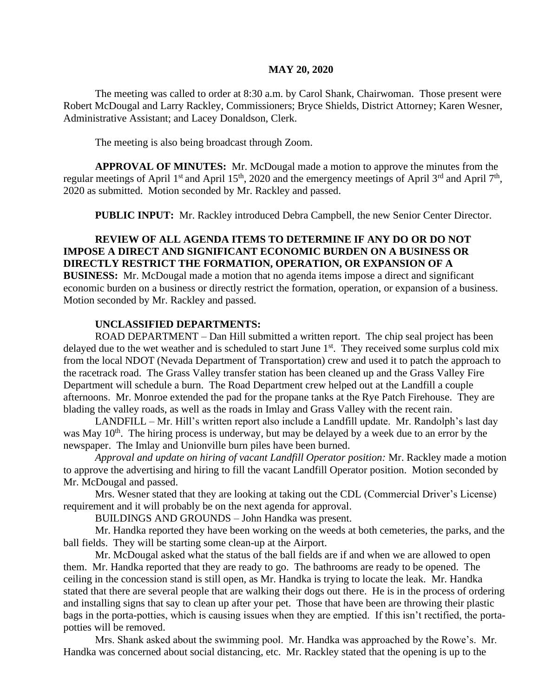#### **MAY 20, 2020**

The meeting was called to order at 8:30 a.m. by Carol Shank, Chairwoman. Those present were Robert McDougal and Larry Rackley, Commissioners; Bryce Shields, District Attorney; Karen Wesner, Administrative Assistant; and Lacey Donaldson, Clerk.

The meeting is also being broadcast through Zoom.

**APPROVAL OF MINUTES:** Mr. McDougal made a motion to approve the minutes from the regular meetings of April 1<sup>st</sup> and April 15<sup>th</sup>, 2020 and the emergency meetings of April 3<sup>rd</sup> and April 7<sup>th</sup>, 2020 as submitted. Motion seconded by Mr. Rackley and passed.

**PUBLIC INPUT:** Mr. Rackley introduced Debra Campbell, the new Senior Center Director.

## **REVIEW OF ALL AGENDA ITEMS TO DETERMINE IF ANY DO OR DO NOT IMPOSE A DIRECT AND SIGNIFICANT ECONOMIC BURDEN ON A BUSINESS OR DIRECTLY RESTRICT THE FORMATION, OPERATION, OR EXPANSION OF A**

**BUSINESS:** Mr. McDougal made a motion that no agenda items impose a direct and significant economic burden on a business or directly restrict the formation, operation, or expansion of a business. Motion seconded by Mr. Rackley and passed.

#### **UNCLASSIFIED DEPARTMENTS:**

ROAD DEPARTMENT – Dan Hill submitted a written report. The chip seal project has been delayed due to the wet weather and is scheduled to start June  $1<sup>st</sup>$ . They received some surplus cold mix from the local NDOT (Nevada Department of Transportation) crew and used it to patch the approach to the racetrack road. The Grass Valley transfer station has been cleaned up and the Grass Valley Fire Department will schedule a burn. The Road Department crew helped out at the Landfill a couple afternoons. Mr. Monroe extended the pad for the propane tanks at the Rye Patch Firehouse. They are blading the valley roads, as well as the roads in Imlay and Grass Valley with the recent rain.

LANDFILL – Mr. Hill's written report also include a Landfill update. Mr. Randolph's last day was May  $10<sup>th</sup>$ . The hiring process is underway, but may be delayed by a week due to an error by the newspaper. The Imlay and Unionville burn piles have been burned.

*Approval and update on hiring of vacant Landfill Operator position:* Mr. Rackley made a motion to approve the advertising and hiring to fill the vacant Landfill Operator position. Motion seconded by Mr. McDougal and passed.

Mrs. Wesner stated that they are looking at taking out the CDL (Commercial Driver's License) requirement and it will probably be on the next agenda for approval.

BUILDINGS AND GROUNDS – John Handka was present.

Mr. Handka reported they have been working on the weeds at both cemeteries, the parks, and the ball fields. They will be starting some clean-up at the Airport.

Mr. McDougal asked what the status of the ball fields are if and when we are allowed to open them. Mr. Handka reported that they are ready to go. The bathrooms are ready to be opened. The ceiling in the concession stand is still open, as Mr. Handka is trying to locate the leak. Mr. Handka stated that there are several people that are walking their dogs out there. He is in the process of ordering and installing signs that say to clean up after your pet. Those that have been are throwing their plastic bags in the porta-potties, which is causing issues when they are emptied. If this isn't rectified, the portapotties will be removed.

Mrs. Shank asked about the swimming pool. Mr. Handka was approached by the Rowe's. Mr. Handka was concerned about social distancing, etc. Mr. Rackley stated that the opening is up to the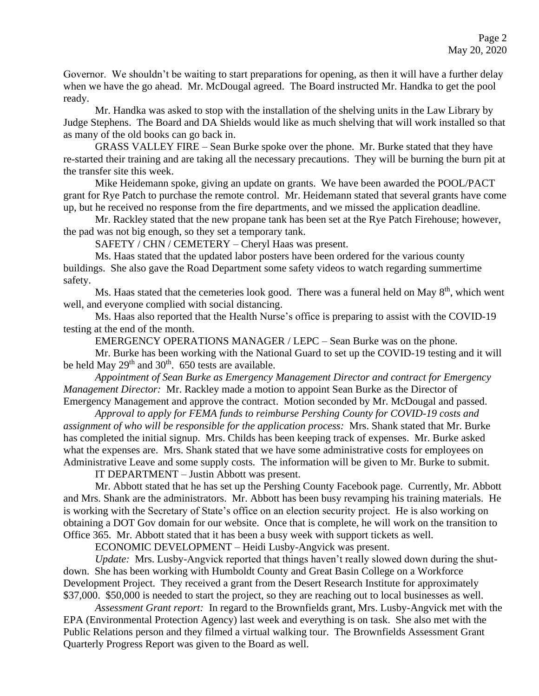Governor. We shouldn't be waiting to start preparations for opening, as then it will have a further delay when we have the go ahead. Mr. McDougal agreed. The Board instructed Mr. Handka to get the pool ready.

Mr. Handka was asked to stop with the installation of the shelving units in the Law Library by Judge Stephens. The Board and DA Shields would like as much shelving that will work installed so that as many of the old books can go back in.

GRASS VALLEY FIRE – Sean Burke spoke over the phone. Mr. Burke stated that they have re-started their training and are taking all the necessary precautions. They will be burning the burn pit at the transfer site this week.

Mike Heidemann spoke, giving an update on grants. We have been awarded the POOL/PACT grant for Rye Patch to purchase the remote control. Mr. Heidemann stated that several grants have come up, but he received no response from the fire departments, and we missed the application deadline.

Mr. Rackley stated that the new propane tank has been set at the Rye Patch Firehouse; however, the pad was not big enough, so they set a temporary tank.

SAFETY / CHN / CEMETERY – Cheryl Haas was present.

Ms. Haas stated that the updated labor posters have been ordered for the various county buildings. She also gave the Road Department some safety videos to watch regarding summertime safety.

Ms. Haas stated that the cemeteries look good. There was a funeral held on May 8<sup>th</sup>, which went well, and everyone complied with social distancing.

Ms. Haas also reported that the Health Nurse's office is preparing to assist with the COVID-19 testing at the end of the month.

EMERGENCY OPERATIONS MANAGER / LEPC – Sean Burke was on the phone.

Mr. Burke has been working with the National Guard to set up the COVID-19 testing and it will be held May  $29<sup>th</sup>$  and  $30<sup>th</sup>$ . 650 tests are available.

*Appointment of Sean Burke as Emergency Management Director and contract for Emergency Management Director:* Mr. Rackley made a motion to appoint Sean Burke as the Director of Emergency Management and approve the contract. Motion seconded by Mr. McDougal and passed.

*Approval to apply for FEMA funds to reimburse Pershing County for COVID-19 costs and assignment of who will be responsible for the application process:* Mrs. Shank stated that Mr. Burke has completed the initial signup. Mrs. Childs has been keeping track of expenses. Mr. Burke asked what the expenses are. Mrs. Shank stated that we have some administrative costs for employees on Administrative Leave and some supply costs. The information will be given to Mr. Burke to submit.

IT DEPARTMENT – Justin Abbott was present.

Mr. Abbott stated that he has set up the Pershing County Facebook page. Currently, Mr. Abbott and Mrs. Shank are the administrators. Mr. Abbott has been busy revamping his training materials. He is working with the Secretary of State's office on an election security project. He is also working on obtaining a DOT Gov domain for our website. Once that is complete, he will work on the transition to Office 365. Mr. Abbott stated that it has been a busy week with support tickets as well.

ECONOMIC DEVELOPMENT – Heidi Lusby-Angvick was present.

*Update:* Mrs. Lusby-Angvick reported that things haven't really slowed down during the shutdown. She has been working with Humboldt County and Great Basin College on a Workforce Development Project. They received a grant from the Desert Research Institute for approximately \$37,000. \$50,000 is needed to start the project, so they are reaching out to local businesses as well.

*Assessment Grant report:* In regard to the Brownfields grant, Mrs. Lusby-Angvick met with the EPA (Environmental Protection Agency) last week and everything is on task. She also met with the Public Relations person and they filmed a virtual walking tour. The Brownfields Assessment Grant Quarterly Progress Report was given to the Board as well.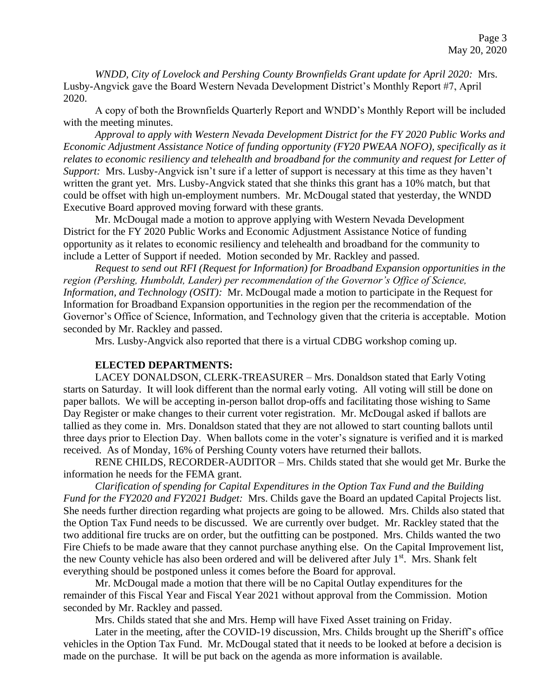*WNDD, City of Lovelock and Pershing County Brownfields Grant update for April 2020:* Mrs. Lusby-Angvick gave the Board Western Nevada Development District's Monthly Report #7, April 2020.

A copy of both the Brownfields Quarterly Report and WNDD's Monthly Report will be included with the meeting minutes.

*Approval to apply with Western Nevada Development District for the FY 2020 Public Works and Economic Adjustment Assistance Notice of funding opportunity (FY20 PWEAA NOFO), specifically as it relates to economic resiliency and telehealth and broadband for the community and request for Letter of Support:* Mrs. Lusby-Angvick isn't sure if a letter of support is necessary at this time as they haven't written the grant yet. Mrs. Lusby-Angvick stated that she thinks this grant has a 10% match, but that could be offset with high un-employment numbers. Mr. McDougal stated that yesterday, the WNDD Executive Board approved moving forward with these grants.

Mr. McDougal made a motion to approve applying with Western Nevada Development District for the FY 2020 Public Works and Economic Adjustment Assistance Notice of funding opportunity as it relates to economic resiliency and telehealth and broadband for the community to include a Letter of Support if needed. Motion seconded by Mr. Rackley and passed.

*Request to send out RFI (Request for Information) for Broadband Expansion opportunities in the region (Pershing, Humboldt, Lander) per recommendation of the Governor's Office of Science, Information, and Technology (OSIT):* Mr. McDougal made a motion to participate in the Request for Information for Broadband Expansion opportunities in the region per the recommendation of the Governor's Office of Science, Information, and Technology given that the criteria is acceptable. Motion seconded by Mr. Rackley and passed.

Mrs. Lusby-Angvick also reported that there is a virtual CDBG workshop coming up.

#### **ELECTED DEPARTMENTS:**

LACEY DONALDSON, CLERK-TREASURER – Mrs. Donaldson stated that Early Voting starts on Saturday. It will look different than the normal early voting. All voting will still be done on paper ballots. We will be accepting in-person ballot drop-offs and facilitating those wishing to Same Day Register or make changes to their current voter registration. Mr. McDougal asked if ballots are tallied as they come in. Mrs. Donaldson stated that they are not allowed to start counting ballots until three days prior to Election Day. When ballots come in the voter's signature is verified and it is marked received. As of Monday, 16% of Pershing County voters have returned their ballots.

RENE CHILDS, RECORDER-AUDITOR – Mrs. Childs stated that she would get Mr. Burke the information he needs for the FEMA grant.

*Clarification of spending for Capital Expenditures in the Option Tax Fund and the Building Fund for the FY2020 and FY2021 Budget:* Mrs. Childs gave the Board an updated Capital Projects list. She needs further direction regarding what projects are going to be allowed. Mrs. Childs also stated that the Option Tax Fund needs to be discussed. We are currently over budget. Mr. Rackley stated that the two additional fire trucks are on order, but the outfitting can be postponed. Mrs. Childs wanted the two Fire Chiefs to be made aware that they cannot purchase anything else. On the Capital Improvement list, the new County vehicle has also been ordered and will be delivered after July 1<sup>st</sup>. Mrs. Shank felt everything should be postponed unless it comes before the Board for approval.

Mr. McDougal made a motion that there will be no Capital Outlay expenditures for the remainder of this Fiscal Year and Fiscal Year 2021 without approval from the Commission. Motion seconded by Mr. Rackley and passed.

Mrs. Childs stated that she and Mrs. Hemp will have Fixed Asset training on Friday.

Later in the meeting, after the COVID-19 discussion, Mrs. Childs brought up the Sheriff's office vehicles in the Option Tax Fund. Mr. McDougal stated that it needs to be looked at before a decision is made on the purchase. It will be put back on the agenda as more information is available.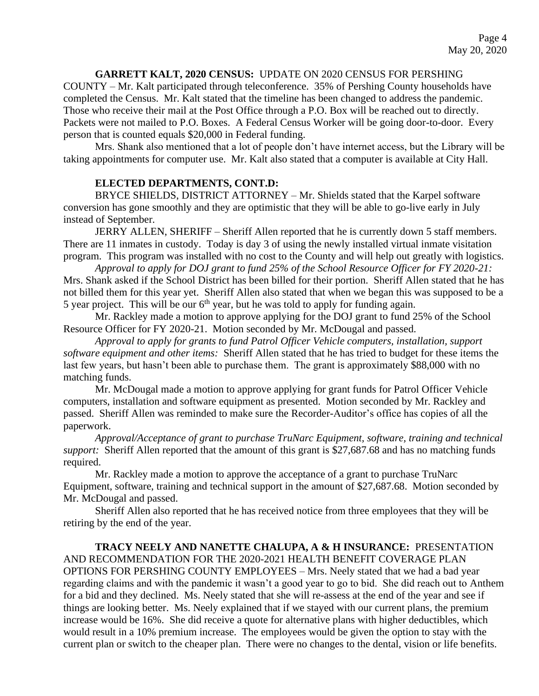## **GARRETT KALT, 2020 CENSUS:** UPDATE ON 2020 CENSUS FOR PERSHING

COUNTY – Mr. Kalt participated through teleconference. 35% of Pershing County households have completed the Census. Mr. Kalt stated that the timeline has been changed to address the pandemic. Those who receive their mail at the Post Office through a P.O. Box will be reached out to directly. Packets were not mailed to P.O. Boxes. A Federal Census Worker will be going door-to-door. Every person that is counted equals \$20,000 in Federal funding.

Mrs. Shank also mentioned that a lot of people don't have internet access, but the Library will be taking appointments for computer use. Mr. Kalt also stated that a computer is available at City Hall.

#### **ELECTED DEPARTMENTS, CONT.D:**

BRYCE SHIELDS, DISTRICT ATTORNEY – Mr. Shields stated that the Karpel software conversion has gone smoothly and they are optimistic that they will be able to go-live early in July instead of September.

JERRY ALLEN, SHERIFF – Sheriff Allen reported that he is currently down 5 staff members. There are 11 inmates in custody. Today is day 3 of using the newly installed virtual inmate visitation program. This program was installed with no cost to the County and will help out greatly with logistics.

*Approval to apply for DOJ grant to fund 25% of the School Resource Officer for FY 2020-21:*  Mrs. Shank asked if the School District has been billed for their portion. Sheriff Allen stated that he has not billed them for this year yet. Sheriff Allen also stated that when we began this was supposed to be a 5 year project. This will be our  $6<sup>th</sup>$  year, but he was told to apply for funding again.

Mr. Rackley made a motion to approve applying for the DOJ grant to fund 25% of the School Resource Officer for FY 2020-21. Motion seconded by Mr. McDougal and passed.

*Approval to apply for grants to fund Patrol Officer Vehicle computers, installation, support software equipment and other items:* Sheriff Allen stated that he has tried to budget for these items the last few years, but hasn't been able to purchase them. The grant is approximately \$88,000 with no matching funds.

Mr. McDougal made a motion to approve applying for grant funds for Patrol Officer Vehicle computers, installation and software equipment as presented. Motion seconded by Mr. Rackley and passed. Sheriff Allen was reminded to make sure the Recorder-Auditor's office has copies of all the paperwork.

*Approval/Acceptance of grant to purchase TruNarc Equipment, software, training and technical support:* Sheriff Allen reported that the amount of this grant is \$27,687.68 and has no matching funds required.

Mr. Rackley made a motion to approve the acceptance of a grant to purchase TruNarc Equipment, software, training and technical support in the amount of \$27,687.68. Motion seconded by Mr. McDougal and passed.

Sheriff Allen also reported that he has received notice from three employees that they will be retiring by the end of the year.

**TRACY NEELY AND NANETTE CHALUPA, A & H INSURANCE:** PRESENTATION AND RECOMMENDATION FOR THE 2020-2021 HEALTH BENEFIT COVERAGE PLAN OPTIONS FOR PERSHING COUNTY EMPLOYEES – Mrs. Neely stated that we had a bad year regarding claims and with the pandemic it wasn't a good year to go to bid. She did reach out to Anthem for a bid and they declined. Ms. Neely stated that she will re-assess at the end of the year and see if things are looking better. Ms. Neely explained that if we stayed with our current plans, the premium increase would be 16%. She did receive a quote for alternative plans with higher deductibles, which would result in a 10% premium increase. The employees would be given the option to stay with the current plan or switch to the cheaper plan. There were no changes to the dental, vision or life benefits.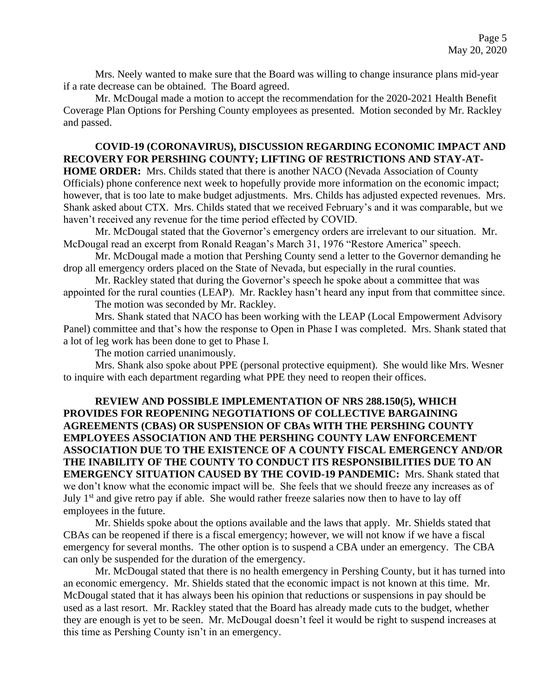Mrs. Neely wanted to make sure that the Board was willing to change insurance plans mid-year if a rate decrease can be obtained. The Board agreed.

Mr. McDougal made a motion to accept the recommendation for the 2020-2021 Health Benefit Coverage Plan Options for Pershing County employees as presented. Motion seconded by Mr. Rackley and passed.

# **COVID-19 (CORONAVIRUS), DISCUSSION REGARDING ECONOMIC IMPACT AND RECOVERY FOR PERSHING COUNTY; LIFTING OF RESTRICTIONS AND STAY-AT-**

**HOME ORDER:** Mrs. Childs stated that there is another NACO (Nevada Association of County Officials) phone conference next week to hopefully provide more information on the economic impact; however, that is too late to make budget adjustments. Mrs. Childs has adjusted expected revenues. Mrs. Shank asked about CTX. Mrs. Childs stated that we received February's and it was comparable, but we haven't received any revenue for the time period effected by COVID.

Mr. McDougal stated that the Governor's emergency orders are irrelevant to our situation. Mr. McDougal read an excerpt from Ronald Reagan's March 31, 1976 "Restore America" speech.

Mr. McDougal made a motion that Pershing County send a letter to the Governor demanding he drop all emergency orders placed on the State of Nevada, but especially in the rural counties.

Mr. Rackley stated that during the Governor's speech he spoke about a committee that was appointed for the rural counties (LEAP). Mr. Rackley hasn't heard any input from that committee since.

The motion was seconded by Mr. Rackley.

Mrs. Shank stated that NACO has been working with the LEAP (Local Empowerment Advisory Panel) committee and that's how the response to Open in Phase I was completed. Mrs. Shank stated that a lot of leg work has been done to get to Phase I.

The motion carried unanimously.

Mrs. Shank also spoke about PPE (personal protective equipment). She would like Mrs. Wesner to inquire with each department regarding what PPE they need to reopen their offices.

**REVIEW AND POSSIBLE IMPLEMENTATION OF NRS 288.150(5), WHICH PROVIDES FOR REOPENING NEGOTIATIONS OF COLLECTIVE BARGAINING AGREEMENTS (CBAS) OR SUSPENSION OF CBAs WITH THE PERSHING COUNTY EMPLOYEES ASSOCIATION AND THE PERSHING COUNTY LAW ENFORCEMENT ASSOCIATION DUE TO THE EXISTENCE OF A COUNTY FISCAL EMERGENCY AND/OR THE INABILITY OF THE COUNTY TO CONDUCT ITS RESPONSIBILITIES DUE TO AN EMERGENCY SITUATION CAUSED BY THE COVID-19 PANDEMIC:** Mrs. Shank stated that we don't know what the economic impact will be. She feels that we should freeze any increases as of July  $1<sup>st</sup>$  and give retro pay if able. She would rather freeze salaries now then to have to lay off employees in the future.

Mr. Shields spoke about the options available and the laws that apply. Mr. Shields stated that CBAs can be reopened if there is a fiscal emergency; however, we will not know if we have a fiscal emergency for several months. The other option is to suspend a CBA under an emergency. The CBA can only be suspended for the duration of the emergency.

Mr. McDougal stated that there is no health emergency in Pershing County, but it has turned into an economic emergency. Mr. Shields stated that the economic impact is not known at this time. Mr. McDougal stated that it has always been his opinion that reductions or suspensions in pay should be used as a last resort. Mr. Rackley stated that the Board has already made cuts to the budget, whether they are enough is yet to be seen. Mr. McDougal doesn't feel it would be right to suspend increases at this time as Pershing County isn't in an emergency.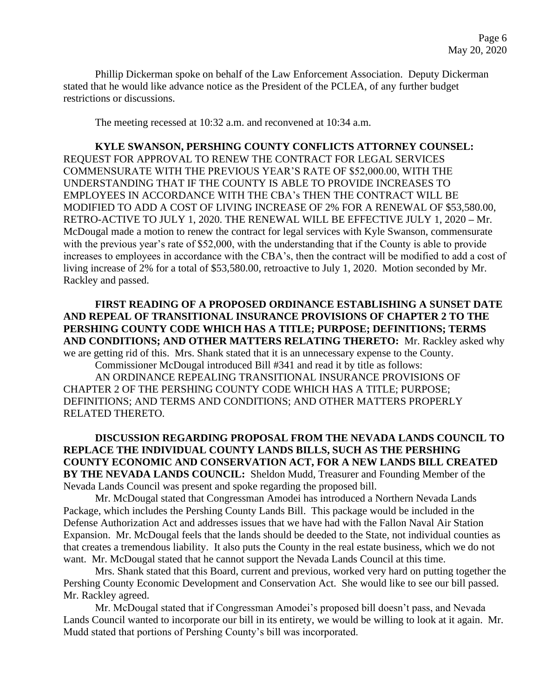Phillip Dickerman spoke on behalf of the Law Enforcement Association. Deputy Dickerman stated that he would like advance notice as the President of the PCLEA, of any further budget restrictions or discussions.

The meeting recessed at 10:32 a.m. and reconvened at 10:34 a.m.

**KYLE SWANSON, PERSHING COUNTY CONFLICTS ATTORNEY COUNSEL:**  REQUEST FOR APPROVAL TO RENEW THE CONTRACT FOR LEGAL SERVICES COMMENSURATE WITH THE PREVIOUS YEAR'S RATE OF \$52,000.00, WITH THE UNDERSTANDING THAT IF THE COUNTY IS ABLE TO PROVIDE INCREASES TO EMPLOYEES IN ACCORDANCE WITH THE CBA's THEN THE CONTRACT WILL BE MODIFIED TO ADD A COST OF LIVING INCREASE OF 2% FOR A RENEWAL OF \$53,580.00, RETRO-ACTIVE TO JULY 1, 2020. THE RENEWAL WILL BE EFFECTIVE JULY 1, 2020 **–** Mr. McDougal made a motion to renew the contract for legal services with Kyle Swanson, commensurate with the previous year's rate of \$52,000, with the understanding that if the County is able to provide increases to employees in accordance with the CBA's, then the contract will be modified to add a cost of living increase of 2% for a total of \$53,580.00, retroactive to July 1, 2020. Motion seconded by Mr. Rackley and passed.

**FIRST READING OF A PROPOSED ORDINANCE ESTABLISHING A SUNSET DATE AND REPEAL OF TRANSITIONAL INSURANCE PROVISIONS OF CHAPTER 2 TO THE PERSHING COUNTY CODE WHICH HAS A TITLE; PURPOSE; DEFINITIONS; TERMS AND CONDITIONS; AND OTHER MATTERS RELATING THERETO:** Mr. Rackley asked why we are getting rid of this. Mrs. Shank stated that it is an unnecessary expense to the County.

Commissioner McDougal introduced Bill #341 and read it by title as follows: AN ORDINANCE REPEALING TRANSITIONAL INSURANCE PROVISIONS OF CHAPTER 2 OF THE PERSHING COUNTY CODE WHICH HAS A TITLE; PURPOSE; DEFINITIONS; AND TERMS AND CONDITIONS; AND OTHER MATTERS PROPERLY RELATED THERETO.

## **DISCUSSION REGARDING PROPOSAL FROM THE NEVADA LANDS COUNCIL TO REPLACE THE INDIVIDUAL COUNTY LANDS BILLS, SUCH AS THE PERSHING COUNTY ECONOMIC AND CONSERVATION ACT, FOR A NEW LANDS BILL CREATED BY THE NEVADA LANDS COUNCIL:** Sheldon Mudd, Treasurer and Founding Member of the Nevada Lands Council was present and spoke regarding the proposed bill.

Mr. McDougal stated that Congressman Amodei has introduced a Northern Nevada Lands Package, which includes the Pershing County Lands Bill. This package would be included in the Defense Authorization Act and addresses issues that we have had with the Fallon Naval Air Station Expansion. Mr. McDougal feels that the lands should be deeded to the State, not individual counties as that creates a tremendous liability. It also puts the County in the real estate business, which we do not want. Mr. McDougal stated that he cannot support the Nevada Lands Council at this time.

Mrs. Shank stated that this Board, current and previous, worked very hard on putting together the Pershing County Economic Development and Conservation Act. She would like to see our bill passed. Mr. Rackley agreed.

Mr. McDougal stated that if Congressman Amodei's proposed bill doesn't pass, and Nevada Lands Council wanted to incorporate our bill in its entirety, we would be willing to look at it again. Mr. Mudd stated that portions of Pershing County's bill was incorporated.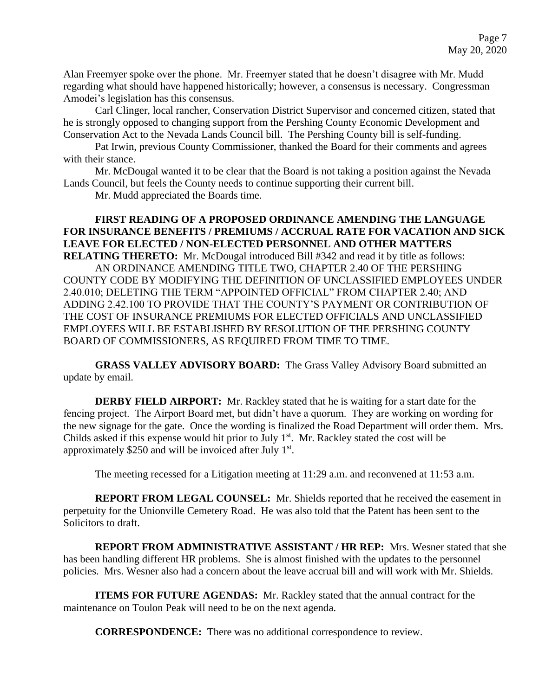Alan Freemyer spoke over the phone. Mr. Freemyer stated that he doesn't disagree with Mr. Mudd regarding what should have happened historically; however, a consensus is necessary. Congressman Amodei's legislation has this consensus.

Carl Clinger, local rancher, Conservation District Supervisor and concerned citizen, stated that he is strongly opposed to changing support from the Pershing County Economic Development and Conservation Act to the Nevada Lands Council bill. The Pershing County bill is self-funding.

Pat Irwin, previous County Commissioner, thanked the Board for their comments and agrees with their stance.

Mr. McDougal wanted it to be clear that the Board is not taking a position against the Nevada Lands Council, but feels the County needs to continue supporting their current bill.

Mr. Mudd appreciated the Boards time.

## **FIRST READING OF A PROPOSED ORDINANCE AMENDING THE LANGUAGE FOR INSURANCE BENEFITS / PREMIUMS / ACCRUAL RATE FOR VACATION AND SICK LEAVE FOR ELECTED / NON-ELECTED PERSONNEL AND OTHER MATTERS RELATING THERETO:** Mr. McDougal introduced Bill #342 and read it by title as follows:

AN ORDINANCE AMENDING TITLE TWO, CHAPTER 2.40 OF THE PERSHING COUNTY CODE BY MODIFYING THE DEFINITION OF UNCLASSIFIED EMPLOYEES UNDER 2.40.010; DELETING THE TERM "APPOINTED OFFICIAL" FROM CHAPTER 2.40; AND ADDING 2.42.100 TO PROVIDE THAT THE COUNTY'S PAYMENT OR CONTRIBUTION OF THE COST OF INSURANCE PREMIUMS FOR ELECTED OFFICIALS AND UNCLASSIFIED EMPLOYEES WILL BE ESTABLISHED BY RESOLUTION OF THE PERSHING COUNTY BOARD OF COMMISSIONERS, AS REQUIRED FROM TIME TO TIME.

**GRASS VALLEY ADVISORY BOARD:** The Grass Valley Advisory Board submitted an update by email.

**DERBY FIELD AIRPORT:** Mr. Rackley stated that he is waiting for a start date for the fencing project. The Airport Board met, but didn't have a quorum. They are working on wording for the new signage for the gate. Once the wording is finalized the Road Department will order them. Mrs. Childs asked if this expense would hit prior to July  $1<sup>st</sup>$ . Mr. Rackley stated the cost will be approximately  $$250$  and will be invoiced after July  $1<sup>st</sup>$ .

The meeting recessed for a Litigation meeting at 11:29 a.m. and reconvened at 11:53 a.m.

**REPORT FROM LEGAL COUNSEL:** Mr. Shields reported that he received the easement in perpetuity for the Unionville Cemetery Road. He was also told that the Patent has been sent to the Solicitors to draft.

**REPORT FROM ADMINISTRATIVE ASSISTANT / HR REP:** Mrs. Wesner stated that she has been handling different HR problems. She is almost finished with the updates to the personnel policies. Mrs. Wesner also had a concern about the leave accrual bill and will work with Mr. Shields.

**ITEMS FOR FUTURE AGENDAS:** Mr. Rackley stated that the annual contract for the maintenance on Toulon Peak will need to be on the next agenda.

**CORRESPONDENCE:** There was no additional correspondence to review.